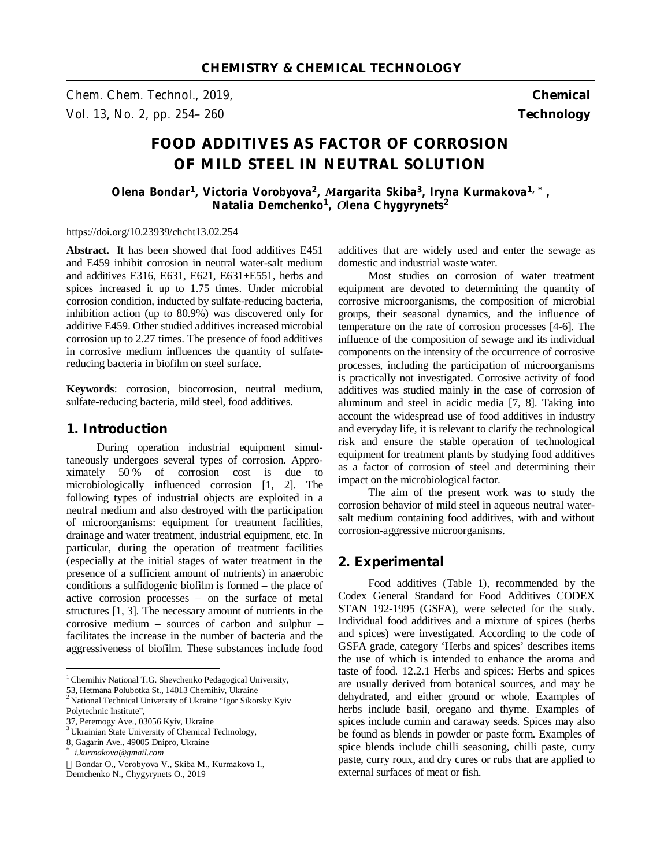*Chem. Chem. Technol., 2019,* **Chemical**  *Vol. 13, No. 2, pp. 254–260* **Technology** 

# **FOOD ADDITIVES AS FACTOR OF CORROSION OF MILD STEEL IN NEUTRAL SOLUTION**

*Olena Bondar<sup>1</sup> , Victoria Vorobyova<sup>2</sup> , Мargarita Skiba<sup>3</sup> , Iryna Kurmakova1, \*, Natalia Demchenko<sup>1</sup> , Оlena Chygyrynets<sup>2</sup>* 

https://doi.org/10.23939/chcht13.02.254

**Abstract.<sup>1</sup>** It has been showed that food additives E451 and E459 inhibit corrosion in neutral water-salt medium and additives E316, E631, E621, E631+E551, herbs and spices increased it up to 1.75 times. Under microbial corrosion condition, inducted by sulfate-reducing bacteria, inhibition action (up to 80.9%) was discovered only for additive E459. Other studied additives increased microbial corrosion up to 2.27 times. The presence of food additives in corrosive medium influences the quantity of sulfatereducing bacteria in biofilm on steel surface.

**Keywords**: corrosion, biocorrosion, neutral medium, sulfate-reducing bacteria, mild steel, food additives.

## **1. Introduction**

During operation industrial equipment simultaneously undergoes several types of corrosion. Approximately 50 % of corrosion cost is due to microbiologically influenced corrosion [1, 2]. The following types of industrial objects are exploited in a neutral medium and also destroyed with the participation of microorganisms: equipment for treatment facilities, drainage and water treatment, industrial equipment, etc. In particular, during the operation of treatment facilities (especially at the initial stages of water treatment in the presence of a sufficient amount of nutrients) in anaerobic conditions a sulfidogenic biofilm is formed – the place of active corrosion processes – on the surface of metal structures [1, 3]. The necessary amount of nutrients in the corrosive medium – sources of carbon and sulphur – facilitates the increase in the number of bacteria and the aggressiveness of biofilm. These substances include food

 $\overline{a}$ 

additives that are widely used and enter the sewage as domestic and industrial waste water.

Most studies on corrosion of water treatment equipment are devoted to determining the quantity of corrosive microorganisms, the composition of microbial groups, their seasonal dynamics, and the influence of temperature on the rate of corrosion processes [4-6]. The influence of the composition of sewage and its individual components on the intensity of the occurrence of corrosive processes, including the participation of microorganisms is practically not investigated. Corrosive activity of food additives was studied mainly in the case of corrosion of aluminum and steel in acidic media [7, 8]. Taking into account the widespread use of food additives in industry and everyday life, it is relevant to clarify the technological risk and ensure the stable operation of technological equipment for treatment plants by studying food additives as a factor of corrosion of steel and determining their impact on the microbiological factor.

The aim of the present work was to study the corrosion behavior of mild steel in aqueous neutral watersalt medium containing food additives, with and without corrosion-aggressive microorganisms.

## **2. Experimental**

Food additives (Table 1), recommended by the Codex General Standard for Food Additives CODEX STAN 192-1995 (GSFA), were selected for the study. Individual food additives and a mixture of spices (herbs and spices) were investigated. According to the code of GSFA grade, category 'Herbs and spices' describes items the use of which is intended to enhance the aroma and taste of food. 12.2.1 Herbs and spices: Herbs and spices are usually derived from botanical sources, and may be dehydrated, and either ground or whole. Examples of herbs include basil, oregano and thyme. Examples of spices include cumin and caraway seeds. Spices may also be found as blends in powder or paste form. Examples of spice blends include chilli seasoning, chilli paste, curry paste, curry roux, and dry cures or rubs that are applied to external surfaces of meat or fish.

 $1$ Chernihiv National T.G. Shevchenko Pedagogical University,

<sup>53,</sup> Hetmana Polubotka St., 14013 Chernihiv, Ukraine<br><sup>2</sup> National Technical University of Ukraine "Igor Sikorsky Kyiv

Polytechnic Institute",

<sup>37,</sup> Peremogy Ave., 03056 Kyiv, Ukraine

<sup>&</sup>lt;sup>3</sup> Ukrainian State University of Chemical Technology,

<sup>8,</sup> Gagarin Ave., 49005 Dnipro, Ukraine

*<sup>\*</sup> i.kurmakova@gmail.com* 

Bondar O., Vorobyova V., Skiba M., Kurmakova I.,

Demchenko N., Chygyrynets O., 2019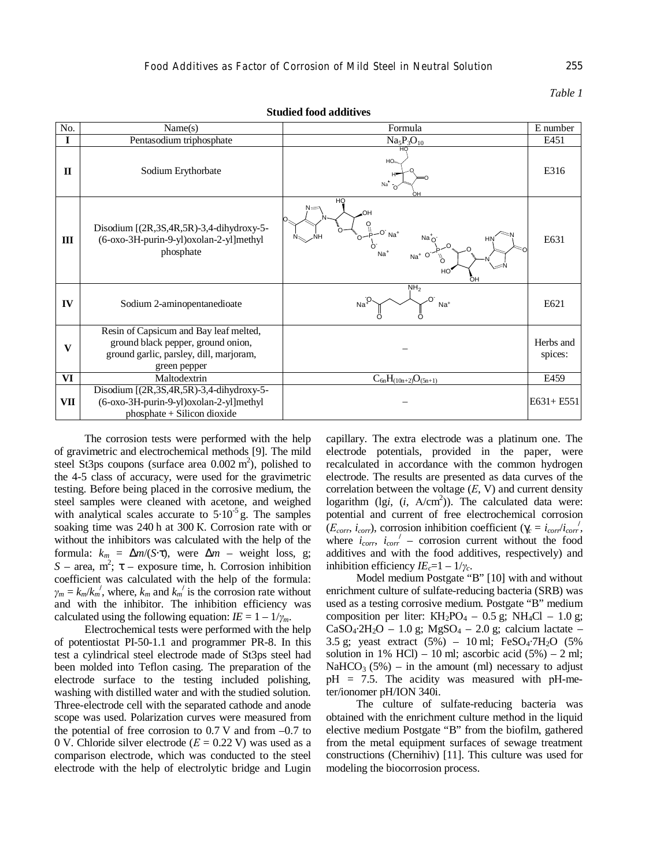#### *Таble 1*

| No.          | Name(s)                                                                                                                                 | Formula                                               | E number             |
|--------------|-----------------------------------------------------------------------------------------------------------------------------------------|-------------------------------------------------------|----------------------|
| I            | Pentasodium triphosphate                                                                                                                | $Na5P3O10$                                            | E451                 |
| П            | Sodium Erythorbate                                                                                                                      | нc<br>HO <sub>tter</sub><br>$Na+$<br>$\Omega$         | E316                 |
| III          | Disodium $[(2R, 3S, 4R, 5R) - 3, 4$ -dihydroxy-5-<br>(6-oxo-3H-purin-9-yl)oxolan-2-yl]methyl<br>phosphate                               | HQ<br>HO.<br>$-$ O' Na <sup>+</sup><br>HN<br>HO<br>OН | E631                 |
| IV           | Sodium 2-aminopentanedioate                                                                                                             | NH <sub>2</sub><br>$Na+$<br>Na <sup>+</sup>           | E <sub>621</sub>     |
| $\mathbf{V}$ | Resin of Capsicum and Bay leaf melted,<br>ground black pepper, ground onion,<br>ground garlic, parsley, dill, marjoram,<br>green pepper |                                                       | Herbs and<br>spices: |
| VI           | Maltodextrin                                                                                                                            | $C_{6n}H_{(10n+2)}O_{(5n+1)}$                         | E459                 |
| VII          | Disodium $[(2R, 3S, 4R, 5R) - 3, 4$ -dihydroxy-5-<br>(6-oxo-3H-purin-9-yl)oxolan-2-yl]methyl<br>phosphate + Silicon dioxide             |                                                       | $E631 + E551$        |

**Studied food additives**

The corrosion tests were performed with the help of gravimetric and electrochemical methods [9]. The mild steel St3ps coupons (surface area  $0.002 \text{ m}^2$ ), polished to the 4-5 class of accuracy, were used for the gravimetric testing. Before being placed in the corrosive medium, the steel samples were cleaned with acetone, and weighed with analytical scales accurate to  $5.10^{-5}$  g. The samples soaking time was 240 h at 300 К. Corrosion rate with or without the inhibitors was calculated with the help of the formula:  $k_m = \Delta m / (S \cdot t)$ , were  $\Delta m$  – weight loss, g;  $S$  – area, m<sup>2</sup>;  $t$  – exposure time, h. Corrosion inhibition coefficient was calculated with the help of the formula:  $\gamma_m = k_m / k_m^{\prime}$ , where,  $k_m$  and  $k_m^{\prime}$  is the corrosion rate without and with the inhibitor. The inhibition efficiency was calculated using the following equation:  $IE = 1 - 1/\gamma_m$ .

Electrochemical tests were performed with the help of potentiostat PI-50-1.1 and programmer PR-8. In this test a cylindrical steel electrode made of St3ps steel had been molded into Teflon casing. The preparation of the electrode surface to the testing included polishing, washing with distilled water and with the studied solution. Three-electrode cell with the separated cathode and anode scope was used. Polarization curves were measured from the potential of free corrosion to  $0.7$  V and from  $-0.7$  to 0 V. Chloride silver electrode (*Е* = 0.22 V) was used as a comparison electrode, which was conducted to the steel electrode with the help of electrolytic bridge and Lugin capillary. The extra electrode was a platinum one. The electrode potentials, provided in the paper, were recalculated in accordance with the common hydrogen electrode. The results are presented as data curves of the correlation between the voltage (*Е*, V) and current density logarithm (lg*i*, (*i*, А/cm 2 )). The calculated data were: potential and current of free electrochemical corrosion  $(E_{corr}, i_{corr})$ , corrosion inhibition coefficient ( $g_c = i_{corr}/i_{corr}$ ), where  $i_{corr}$ ,  $i_{corr}'$  – corrosion current without the food additives and with the food additives, respectively) and inhibition efficiency  $I E_c = 1 - 1/\gamma_c$ .

Model medium Postgate "B" [10] with and without enrichment culture of sulfate-reducing bacteria (SRB) was used as a testing corrosive medium. Postgate "B" medium composition per liter:  $KH_2PO_4 - 0.5$  g;  $NH_4Cl - 1.0$  g;  $CaSO_4·2H_2O - 1.0$  g;  $MgSO_4 - 2.0$  g; calcium lactate – 3.5 g; yeast extract  $(5%) - 10$  ml; FeSO<sub>4</sub>·7H<sub>2</sub>O  $(5%)$ solution in 1% HCl) – 10 ml; ascorbic acid  $(5\%)$  – 2 ml; NaHCO<sub>3</sub> (5%) – in the amount (ml) necessary to adjust  $pH = 7.5$ . The acidity was measured with  $pH$ -meter/ionomer pH/ION 340i.

The culture of sulfate-reducing bacteria was obtained with the enrichment culture method in the liquid elective medium Postgate "B" from the biofilm, gathered from the metal equipment surfaces of sewage treatment constructions (Chernihiv) [11]. This culture was used for modeling the biocorrosion process.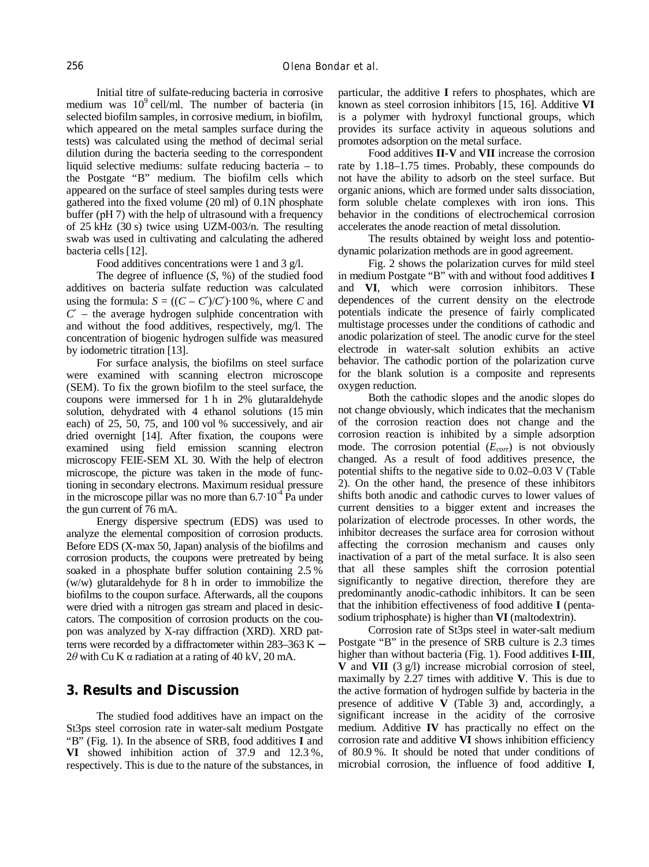Initial titre of sulfate-reducing bacteria in corrosive medium was  $10^9$  cell/ml. The number of bacteria (in selected biofilm samples, in corrosive medium, in biofilm, which appeared on the metal samples surface during the tests) was calculated using the method of decimal serial dilution during the bacteria seeding to the correspondent liquid selective mediums: sulfate reducing bacteria – to the Postgate "B" medium. The biofilm cells which appeared on the surface of steel samples during tests were gathered into the fixed volume (20 ml) of 0.1N phosphate buffer (pH 7) with the help of ultrasound with a frequency of 25 kHz (30 s) twice using UZM-003/n. The resulting swab was used in cultivating and calculating the adhered bacteria cells [12].

Food additives concentrations were 1 and 3 g/l.

The degree of influence (*S*, %) of the studied food additives on bacteria sulfate reduction was calculated using the formula:  $S = ((C - C')/C') \cdot 100\%$ , where *C* and *C*′ – the average hydrogen sulphide concentration with and without the food additives, respectively, mg/l. The concentration of biogenic hydrogen sulfide was measured by iodometric titration [13].

For surface analysis, the biofilms on steel surface were examined with scanning electron microscope (SEM). To fix the grown biofilm to the steel surface, the coupons were immersed for 1 h in 2% glutaraldehyde solution, dehydrated with 4 ethanol solutions (15 min each) of 25, 50, 75, and 100 vol % successively, and air dried overnight [14]. After fixation, the coupons were examined using field emission scanning electron microscopy FEIE-SEM XL 30. With the help of electron microscope, the picture was taken in the mode of functioning in secondary electrons. Maximum residual pressure in the microscope pillar was no more than  $6.7 \cdot 10^{-4}$  Pa under the gun current of 76 mА.

Energy dispersive spectrum (EDS) was used to analyze the elemental composition of corrosion products. Before EDS (X-max 50, Japan) analysis of the biofilms and corrosion products, the coupons were pretreated by being soaked in a phosphate buffer solution containing 2.5 % (w/w) glutaraldehyde for 8 h in order to immobilize the biofilms to the coupon surface. Afterwards, all the coupons were dried with a nitrogen gas stream and placed in desiccators. The composition of corrosion products on the coupon was analyzed by X-ray diffraction (XRD). XRD patterns were recorded by a diffractometer within 283–363 K  $-$ 2*θ* with Cu K α radiation at a rating of 40 kV, 20 mA.

## **3. Results and Discussion**

The studied food additives have an impact on the St3ps steel corrosion rate in water-salt medium Postgate "B" (Fig. 1). In the absence of SRB, food additives **I** and **VI** showed inhibition action of 37.9 and 12.3 %, respectively. This is due to the nature of the substances, in particular, the additive **I** refers to phosphates, which are known as steel corrosion inhibitors [15, 16]. Additive **VI** is a polymer with hydroxyl functional groups, which provides its surface activity in aqueous solutions and promotes adsorption on the metal surface.

Food additives **II-V** and **VII** increase the corrosion rate by 1.18–1.75 times. Probably, these compounds do not have the ability to adsorb on the steel surface. But organic anions, which are formed under salts dissociation, form soluble chelate complexes with iron ions. This behavior in the conditions of electrochemical corrosion accelerates the anode reaction of metal dissolution.

The results obtained by weight loss and potentiodynamic polarization methods are in good agreement.

Fig. 2 shows the polarization curves for mild steel in medium Postgate "B" with and without food additives **I** and **VI**, which were corrosion inhibitors. These dependences of the current density on the electrode potentials indicate the presence of fairly complicated multistage processes under the conditions of cathodic and anodic polarization of steel. The anodic curve for the steel electrode in water-salt solution exhibits an active behavior. The cathodic portion of the polarization curve for the blank solution is a composite and represents oxygen reduction.

Both the cathodic slopes and the anodic slopes do not change obviously, which indicates that the mechanism of the corrosion reaction does not change and the corrosion reaction is inhibited by a simple adsorption mode. The corrosion potential (*Ecorr*) is not obviously changed. As a result of food additives presence, the potential shifts to the negative side to 0.02–0.03 V (Table 2). On the other hand, the presence of these inhibitors shifts both anodic and cathodic curves to lower values of current densities to a bigger extent and increases the polarization of electrode processes. In other words, the inhibitor decreases the surface area for corrosion without affecting the corrosion mechanism and causes only inactivation of a part of the metal surface. It is also seen that all these samples shift the corrosion potential significantly to negative direction, therefore they are predominantly anodic-cathodic inhibitors. It can be seen that the inhibition effectiveness of food additive **I** (pentasodium triphosphate) is higher than **VI** (maltodextrin).

Corrosion rate of St3ps steel in water-salt medium Postgate "B" in the presence of SRB culture is 2.3 times higher than without bacteria (Fig. 1). Food additives **I**-**III**, **V** and **VII** (3 g/l) increase microbial corrosion of steel, maximally by 2.27 times with additive **V**. This is due to the active formation of hydrogen sulfide by bacteria in the presence of additive **V** (Table 3) and, accordingly, a significant increase in the acidity of the corrosive medium. Additive **IV** has practically no effect on the corrosion rate and additive **VI** shows inhibition efficiency of 80.9 %. It should be noted that under conditions of microbial corrosion, the influence of food additive **I**,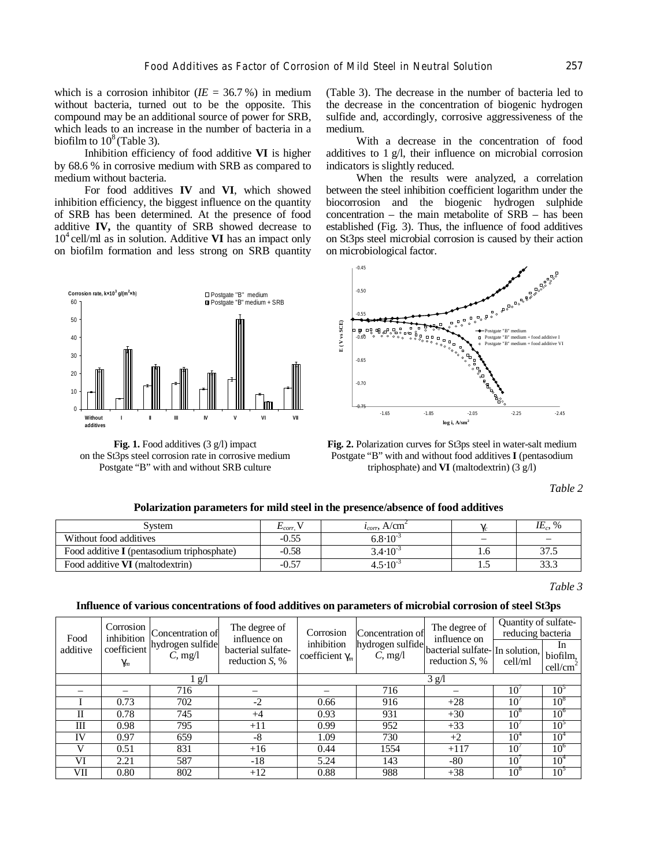which is a corrosion inhibitor  $(IE = 36.7\%)$  in medium without bacteria, turned out to be the opposite. This compound may be an additional source of power for SRB, which leads to an increase in the number of bacteria in a biofilm to  $10^8$  (Table 3).

Inhibition efficiency of food additive **VI** is higher by 68.6 % in corrosive medium with SRB as compared to medium without bacteria.

For food additives **IV** and **VI**, which showed inhibition efficiency, the biggest influence on the quantity of SRB has been determined. At the presence of food additive **IV,** the quantity of SRB showed decrease to 10<sup>4</sup> cell/ml as in solution. Additive **VI** has an impact only on biofilm formation and less strong on SRB quantity



**Fig. 1.** Food additives (3 g/l) impact on the St3ps steel corrosion rate in corrosive medium Postgate "B" with and without SRB culture

(Table 3). The decrease in the number of bacteria led to the decrease in the concentration of biogenic hydrogen sulfide and, accordingly, corrosive aggressiveness of the medium.

With a decrease in the concentration of food additives to 1 g/l, their influence on microbial corrosion indicators is slightly reduced.

When the results were analyzed, a correlation between the steel inhibition coefficient logarithm under the biocorrosion and the biogenic hydrogen sulphide concentration – the main metabolite of SRB – has been established (Fig. 3). Thus, the influence of food additives on St3ps steel microbial corrosion is caused by their action on microbiological factor.



**Fig. 2.** Polarization curves for St3ps steel in water-salt medium Postgate "B" with and without food additives **I** (pentasodium triphosphate) and **VI** (maltodextrin) (3 g/l)

*Table 2* 

#### **Polarization parameters for mild steel in the presence/absence of food additives**

| svstem                                            | $L_{corr}$ | A/cm<br>$\iota_{corr}$ |     | $IE_c$ , % |
|---------------------------------------------------|------------|------------------------|-----|------------|
| Without food additives                            | $-0.55$    | $6.8 \cdot 10^{-3}$    |     |            |
| Food additive <b>I</b> (pentasodium triphosphate) | $-0.58$    | $3.4 \cdot 10^{-3}$    | 1.U | 37.5       |
| Food additive <b>VI</b> (maltodextrin)            | $-0.57$    | $4.5 \cdot 10^{-7}$    |     | 33.3       |

*Таble 3* 

#### **Influence of various concentrations of food additives on parameters of microbial corrosion of steel St3ps**

| Food     | Corrosion<br>inhibition<br>coefficient<br>C, mg/l<br>$g_m$ | Concentration of | The degree of<br>influence on<br>bacterial sulfate-<br>reduction $S$ , % | Corrosion<br>inhibition<br>coefficient $g_m$ | Concentration of | The degree of<br>influence on<br>hydrogen sulfide bacterial sulfate-<br>In solution,<br>reduction $S$ , % | Quantity of sulfate-<br>reducing bacteria |                                        |
|----------|------------------------------------------------------------|------------------|--------------------------------------------------------------------------|----------------------------------------------|------------------|-----------------------------------------------------------------------------------------------------------|-------------------------------------------|----------------------------------------|
| additive |                                                            | hydrogen sulfide |                                                                          |                                              |                  |                                                                                                           | cell/ml                                   | In<br>biofilm,<br>cell/cm <sup>2</sup> |
|          | 1 g/l                                                      |                  |                                                                          | 3 g/l                                        |                  |                                                                                                           |                                           |                                        |
|          |                                                            | 716              |                                                                          |                                              | 716              |                                                                                                           | 10                                        | 10 <sup>5</sup>                        |
|          | 0.73                                                       | 702              | $-2$                                                                     | 0.66                                         | 916              | $+28$                                                                                                     | $10^{\circ}$                              | 10 <sup>8</sup>                        |
| П        | 0.78                                                       | 745              | $+4$                                                                     | 0.93                                         | 931              | $+30$                                                                                                     | $10^{\circ}$                              | $10^{\circ}$                           |
| Ш        | 0.98                                                       | 795              | $+11$                                                                    | 0.99                                         | 952              | $+33$                                                                                                     | 10 <sup>7</sup>                           | 10 <sup>5</sup>                        |
| IV       | 0.97                                                       | 659              | $-8$                                                                     | 1.09                                         | 730              | $+2$                                                                                                      | 10 <sup>4</sup>                           | 10 <sup>4</sup>                        |
| V        | 0.51                                                       | 831              | $+16$                                                                    | 0.44                                         | 1554             | $+117$                                                                                                    | 10 <sup>7</sup>                           | 10 <sup>6</sup>                        |
| VI       | 2.21                                                       | 587              | $-18$                                                                    | 5.24                                         | 143              | -80                                                                                                       | $10^{\prime}$                             | 10 <sup>4</sup>                        |
| VII      | 0.80                                                       | 802              | $+12$                                                                    | 0.88                                         | 988              | $+38$                                                                                                     | $10^8$                                    | 10 <sup>5</sup>                        |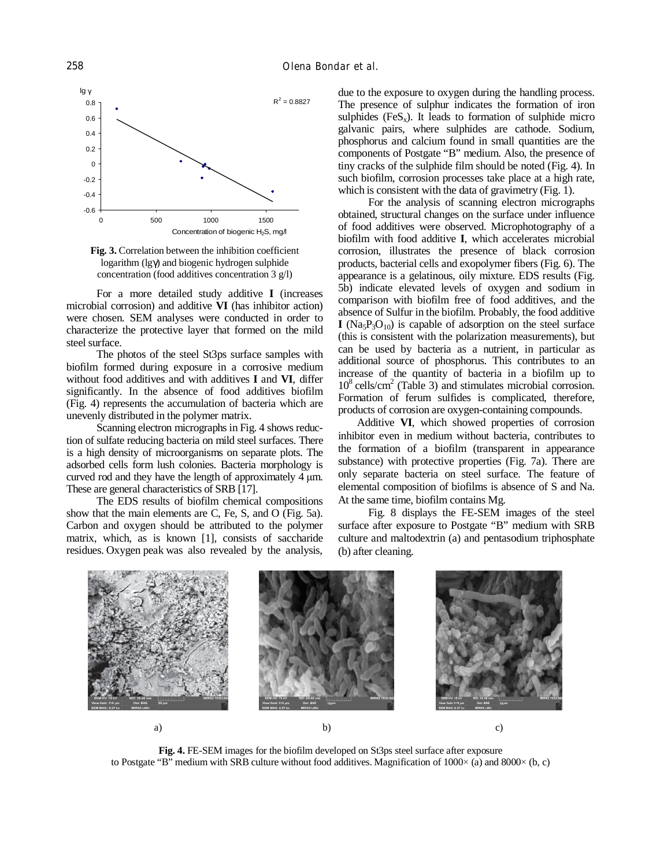

**Fig. 3.** Correlation between the inhibition coefficient logarithm (lg*g*) and biogenic hydrogen sulphide concentration (food additives concentration 3 g/l)

For a more detailed study additive **I** (increases microbial corrosion) and additive **VI** (has inhibitor action) were chosen. SEM analyses were conducted in order to characterize the protective layer that formed on the mild steel surface.

The photos of the steel St3ps surface samples with biofilm formed during exposure in a corrosive medium without food additives and with additives **I** and **VI**, differ significantly. In the absence of food additives biofilm (Fig. 4) represents the accumulation of bacteria which are unevenly distributed in the polymer matrix.

Scanning electron micrographs in Fig. 4 shows reduction of sulfate reducing bacteria on mild steel surfaces. There is a high density of microorganisms on separate plots. The adsorbed cells form lush colonies. Bacteria morphology is curved rod and they have the length of approximately 4 μm. These are general characteristics of SRB [17].

The EDS results of biofilm chemical compositions show that the main elements are C, Fe, S, and O (Fig. 5a). Carbon and oxygen should be attributed to the polymer matrix, which, as is known [1], consists of saccharide residues. Oxygen peak was also revealed by the analysis,

due to the exposure to oxygen during the handling process. The presence of sulphur indicates the formation of iron sulphides  $(FeS_x)$ . It leads to formation of sulphide micro galvanic pairs, where sulphides are cathode. Sodium, phosphorus and calcium found in small quantities are the components of Postgate "B" medium. Also, the presence of tiny cracks of the sulphide film should be noted (Fig. 4). In such biofilm, corrosion processes take place at a high rate, which is consistent with the data of gravimetry (Fig. 1).

For the analysis of scanning electron micrographs obtained, structural changes on the surface under influence of food additives were observed. Microphotography of a biofilm with food additive **I**, which accelerates microbial corrosion, illustrates the presence of black corrosion products, bacterial cells and exopolymer fibers (Fig. 6). The appearance is a gelatinous, oily mixture. EDS results (Fig. 5b) indicate elevated levels of oxygen and sodium in comparison with biofilm free of food additives, and the absence of Sulfur in the biofilm. Probably, the food additive  $I (Na<sub>5</sub>P<sub>3</sub>O<sub>10</sub>)$  is capable of adsorption on the steel surface (this is consistent with the polarization measurements), but can be used by bacteria as a nutrient, in particular as additional source of phosphorus. This contributes to an increase of the quantity of bacteria in a biofilm up to 10<sup>8</sup> cells/cm 2 (Table 3) and stimulates microbial corrosion. Formation of ferum sulfides is complicated, therefore, products of corrosion are oxygen-containing compounds.

Additive **VI**, which showed properties of corrosion inhibitor even in medium without bacteria, contributes to the formation of a biofilm (transparent in appearance substance) with protective properties (Fig. 7a). There are only separate bacteria on steel surface. The feature of elemental composition of biofilms is absence of S and Na. At the same time, biofilm contains Mg.

Fig. 8 displays the FE-SEM images of the steel surface after exposure to Postgate "B" medium with SRB culture and maltodextrin (a) and pentasodium triphosphate (b) after cleaning.



**Fig. 4.** FE-SEM images for the biofilm developed on St3ps steel surface after exposure to Postgate "B" medium with SRB culture without food additives. Magnification of  $1000\times$  (a) and  $8000\times$  (b, c)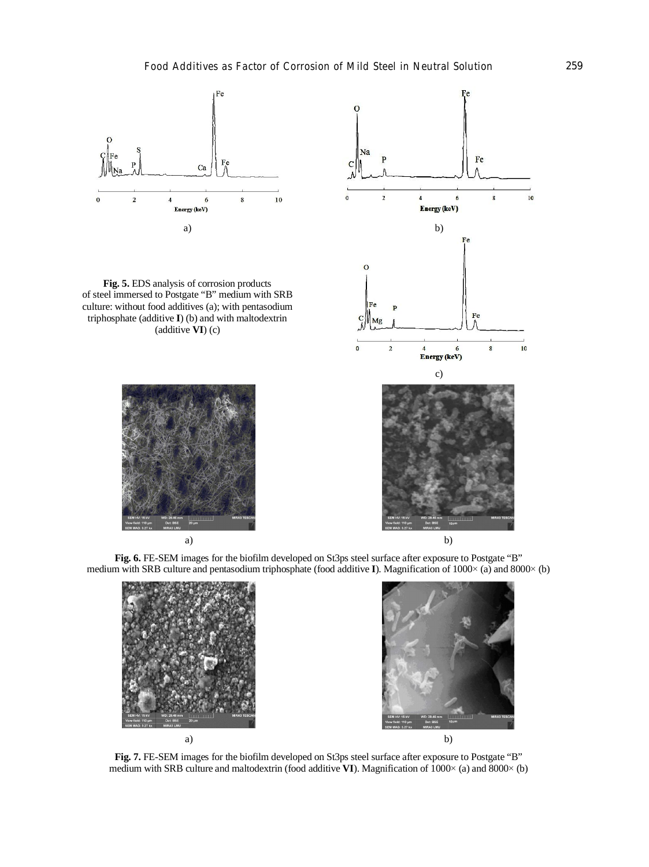

**Fig. 5.** EDS analysis of corrosion products of steel immersed to Postgate "B" medium with SRB culture: without food additives (a); with pentasodium triphosphate (additive **I**) (b) and with maltodextrin (additive **VI**) (c)







**Fig. 6.** FE-SEM images for the biofilm developed on St3ps steel surface after exposure to Postgate "B" medium with SRB culture and pentasodium triphosphate (food additive **I**). Magnification of 1000× (a) and 8000× (b)





**Fig. 7.** FE-SEM images for the biofilm developed on St3ps steel surface after exposure to Postgate "B" medium with SRB culture and maltodextrin (food additive **VI**). Magnification of  $1000\times$  (a) and  $8000\times$  (b)